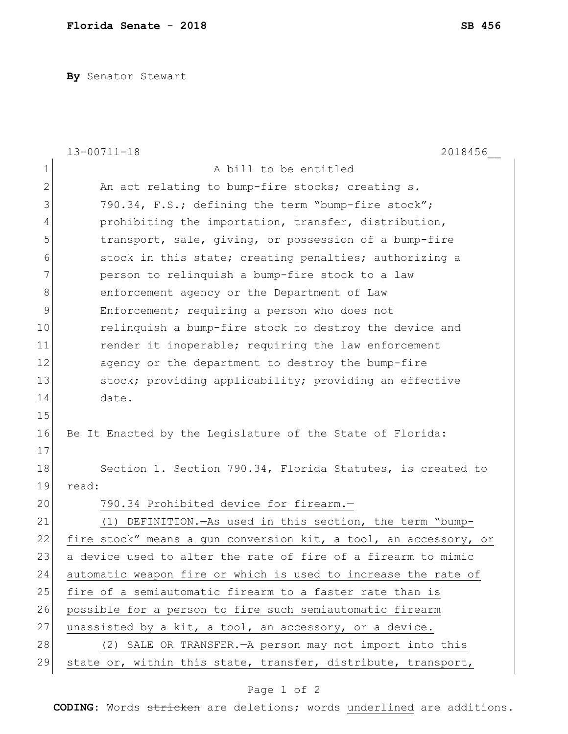**By** Senator Stewart

|               | $13 - 00711 - 18$<br>2018456                                     |
|---------------|------------------------------------------------------------------|
| $\mathbf 1$   | A bill to be entitled                                            |
| $\mathbf{2}$  | An act relating to bump-fire stocks; creating s.                 |
| 3             | 790.34, F.S.; defining the term "bump-fire stock";               |
| 4             | prohibiting the importation, transfer, distribution,             |
| 5             | transport, sale, giving, or possession of a bump-fire            |
| 6             | stock in this state; creating penalties; authorizing a           |
| 7             | person to relinquish a bump-fire stock to a law                  |
| $\,8\,$       | enforcement agency or the Department of Law                      |
| $\mathcal{G}$ | Enforcement; requiring a person who does not                     |
| 10            | relinquish a bump-fire stock to destroy the device and           |
| 11            | render it inoperable; requiring the law enforcement              |
| 12            | agency or the department to destroy the bump-fire                |
| 13            | stock; providing applicability; providing an effective           |
| 14            | date.                                                            |
| 15            |                                                                  |
| 16            | Be It Enacted by the Legislature of the State of Florida:        |
| 17            |                                                                  |
| 18            | Section 1. Section 790.34, Florida Statutes, is created to       |
| 19            | read:                                                            |
| 20            | 790.34 Prohibited device for firearm.-                           |
| 21            | (1) DEFINITION. - As used in this section, the term "bump-       |
| 22            | fire stock" means a gun conversion kit, a tool, an accessory, or |
| 23            | a device used to alter the rate of fire of a firearm to mimic    |
| 24            | automatic weapon fire or which is used to increase the rate of   |
| 25            | fire of a semiautomatic firearm to a faster rate than is         |
| 26            | possible for a person to fire such semiautomatic firearm         |
| 27            | unassisted by a kit, a tool, an accessory, or a device.          |
| 28            | (2) SALE OR TRANSFER. - A person may not import into this        |
| 29            | state or, within this state, transfer, distribute, transport,    |

## Page 1 of 2

**CODING**: Words stricken are deletions; words underlined are additions.